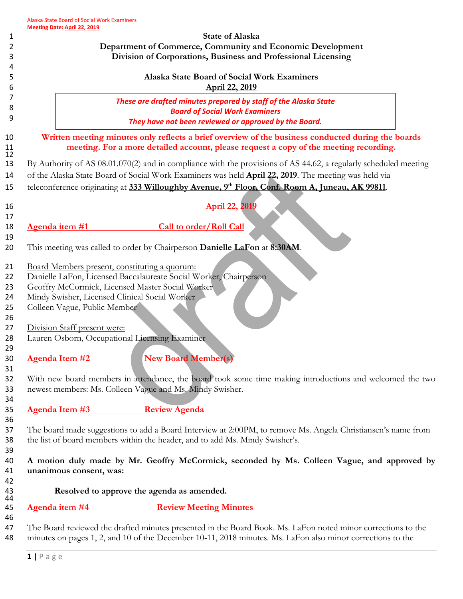| 1        |                                                                                                              | <u>Pate: April 44, 4943</u>                                                                                  | <b>State of Alaska</b>                                                                                           |  |  |  |  |
|----------|--------------------------------------------------------------------------------------------------------------|--------------------------------------------------------------------------------------------------------------|------------------------------------------------------------------------------------------------------------------|--|--|--|--|
| 2        | Department of Commerce, Community and Economic Development                                                   |                                                                                                              |                                                                                                                  |  |  |  |  |
| 3        | Division of Corporations, Business and Professional Licensing                                                |                                                                                                              |                                                                                                                  |  |  |  |  |
| 4        |                                                                                                              |                                                                                                              |                                                                                                                  |  |  |  |  |
| 5        |                                                                                                              |                                                                                                              | Alaska State Board of Social Work Examiners                                                                      |  |  |  |  |
| 6        |                                                                                                              | April 22, 2019                                                                                               |                                                                                                                  |  |  |  |  |
| 7        |                                                                                                              | These are drafted minutes prepared by staff of the Alaska State                                              |                                                                                                                  |  |  |  |  |
| 8        |                                                                                                              |                                                                                                              | <b>Board of Social Work Examiners</b>                                                                            |  |  |  |  |
| 9        |                                                                                                              |                                                                                                              | They have not been reviewed or approved by the Board.                                                            |  |  |  |  |
| 10       |                                                                                                              | Written meeting minutes only reflects a brief overview of the business conducted during the boards           |                                                                                                                  |  |  |  |  |
| 11       | meeting. For a more detailed account, please request a copy of the meeting recording.                        |                                                                                                              |                                                                                                                  |  |  |  |  |
| 12       |                                                                                                              |                                                                                                              |                                                                                                                  |  |  |  |  |
| 13       |                                                                                                              |                                                                                                              | By Authority of AS 08.01.070(2) and in compliance with the provisions of AS 44.62, a regularly scheduled meeting |  |  |  |  |
| 14       | of the Alaska State Board of Social Work Examiners was held <b>April 22, 2019</b> . The meeting was held via |                                                                                                              |                                                                                                                  |  |  |  |  |
| 15       | teleconference originating at 333 Willoughby Avenue, 9th Floor, Conf. Room A, Juneau, AK 99811.              |                                                                                                              |                                                                                                                  |  |  |  |  |
|          |                                                                                                              |                                                                                                              |                                                                                                                  |  |  |  |  |
| 16<br>17 |                                                                                                              | April 22, 2019                                                                                               |                                                                                                                  |  |  |  |  |
| 18       | Agenda item #1                                                                                               |                                                                                                              | <b>Call to order/Roll Call</b>                                                                                   |  |  |  |  |
| 19       |                                                                                                              |                                                                                                              |                                                                                                                  |  |  |  |  |
| 20       | This meeting was called to order by Chairperson Danielle LaFon at 8:30AM.                                    |                                                                                                              |                                                                                                                  |  |  |  |  |
|          |                                                                                                              |                                                                                                              |                                                                                                                  |  |  |  |  |
| 21       | Board Members present, constituting a quorum:                                                                |                                                                                                              |                                                                                                                  |  |  |  |  |
| 22       | Danielle LaFon, Licensed Baccalaureate Social Worker, Chairperson                                            |                                                                                                              |                                                                                                                  |  |  |  |  |
| 23       | Geoffry McCormick, Licensed Master Social Worker                                                             |                                                                                                              |                                                                                                                  |  |  |  |  |
| 24       | Mindy Swisher, Licensed Clinical Social Worker                                                               |                                                                                                              |                                                                                                                  |  |  |  |  |
| 25       | Colleen Vague, Public Member                                                                                 |                                                                                                              |                                                                                                                  |  |  |  |  |
| 26<br>27 |                                                                                                              |                                                                                                              |                                                                                                                  |  |  |  |  |
| 28       | Division Staff present were:<br>Lauren Osborn, Occupational Licensing Examiner                               |                                                                                                              |                                                                                                                  |  |  |  |  |
| 29       |                                                                                                              |                                                                                                              |                                                                                                                  |  |  |  |  |
| 30       | <b>Agenda Item #2</b>                                                                                        |                                                                                                              | <b>New Board Member(s)</b>                                                                                       |  |  |  |  |
| 31       |                                                                                                              |                                                                                                              |                                                                                                                  |  |  |  |  |
| 32       |                                                                                                              |                                                                                                              | With new board members in attendance, the board took some time making introductions and welcomed the two         |  |  |  |  |
| 33       | newest members: Ms. Colleen Vague and Ms. Mindy Swisher.                                                     |                                                                                                              |                                                                                                                  |  |  |  |  |
| 34       |                                                                                                              |                                                                                                              |                                                                                                                  |  |  |  |  |
| 35       | Agenda Item #3                                                                                               |                                                                                                              | <b>Review Agenda</b>                                                                                             |  |  |  |  |
| 36       |                                                                                                              |                                                                                                              |                                                                                                                  |  |  |  |  |
| 37       |                                                                                                              | The board made suggestions to add a Board Interview at 2:00PM, to remove Ms. Angela Christiansen's name from |                                                                                                                  |  |  |  |  |
| 38       | the list of board members within the header, and to add Ms. Mindy Swisher's.                                 |                                                                                                              |                                                                                                                  |  |  |  |  |
| 39       |                                                                                                              |                                                                                                              |                                                                                                                  |  |  |  |  |
| 40       | A motion duly made by Mr. Geoffry McCormick, seconded by Ms. Colleen Vague, and approved by                  |                                                                                                              |                                                                                                                  |  |  |  |  |
| 41       |                                                                                                              | unanimous consent, was:                                                                                      |                                                                                                                  |  |  |  |  |
| 42       |                                                                                                              |                                                                                                              |                                                                                                                  |  |  |  |  |
| 43<br>44 |                                                                                                              | Resolved to approve the agenda as amended.                                                                   |                                                                                                                  |  |  |  |  |
| 45       | <u>Agenda item #4</u>                                                                                        |                                                                                                              | <b>Review Meeting Minutes</b>                                                                                    |  |  |  |  |
| 46       |                                                                                                              |                                                                                                              |                                                                                                                  |  |  |  |  |
| 47       |                                                                                                              | The Board reviewed the drafted minutes presented in the Board Book. Ms. LaFon noted minor corrections to the |                                                                                                                  |  |  |  |  |
| 48       |                                                                                                              | minutes on pages 1, 2, and 10 of the December 10-11, 2018 minutes. Ms. LaFon also minor corrections to the   |                                                                                                                  |  |  |  |  |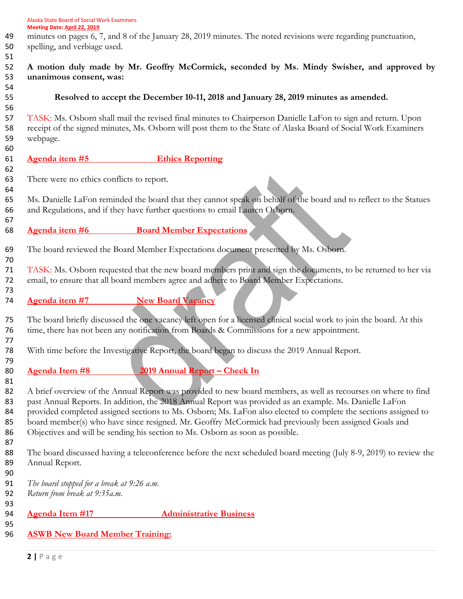- minutes on pages 6, 7, and 8 of the January 28, 2019 minutes. The noted revisions were regarding punctuation,
- spelling, and verbiage used.

# **A motion duly made by Mr. Geoffry McCormick, seconded by Ms. Mindy Swisher, and approved by unanimous consent, was:**

# **Resolved to accept the December 10-11, 2018 and January 28, 2019 minutes as amended.**

 TASK: Ms. Osborn shall mail the revised final minutes to Chairperson Danielle LaFon to sign and return. Upon receipt of the signed minutes, Ms. Osborn will post them to the State of Alaska Board of Social Work Examiners webpage.

# **Agenda item #5 Ethics Reporting**

There were no ethics conflicts to report.

 Ms. Danielle LaFon reminded the board that they cannot speak on behalf of the board and to reflect to the Statues and Regulations, and if they have further questions to email Lauren Osborn.

## **Agenda item #6 Board Member Expectations**

The board reviewed the Board Member Expectations document presented by Ms. Osborn.

 TASK: Ms. Osborn requested that the new board members print and sign the documents, to be returned to her via email, to ensure that all board members agree and adhere to Board Member Expectations.

**Agenda item #7 New Board Vacancy**

 The board briefly discussed the one vacancy left open for a licensed clinical social work to join the board. At this time, there has not been any notification from Boards & Commissions for a new appointment.

With time before the Investigative Report, the board began to discuss the 2019 Annual Report.

**Agenda Item #8 2019 Annual Report – Check In**

82 A brief overview of the Annual Report was provided to new board members, as well as recourses on where to find 83 past Annual Reports. In addition, the 2018 Annual Report was provided as an example. Ms. Danielle LaFon 84 provided completed assigned sections to Ms. Osborn; Ms. LaFon also elected to complete the sections assigned to 85 board member(s) who have since resigned. Mr. Geoffry McCormick had previously been assigned Goals and Objectives and will be sending his section to Ms. Osborn as soon as possible.

 The board discussed having a teleconference before the next scheduled board meeting (July 8-9, 2019) to review the Annual Report.

 *The board stopped for a break at 9:26 a.m.*

*Return from break at 9:35a.m.*

# **Agenda Item #17 Administrative Business**

## **ASWB New Board Member Training:**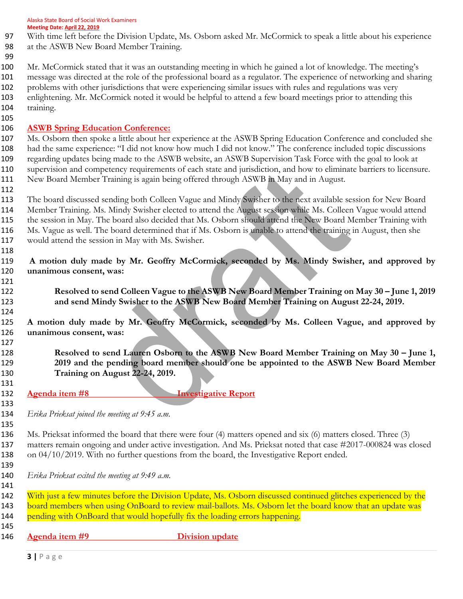Alaska State Board of Social Work Examiners **Meeting Date: April 22, 2019**

- With time left before the Division Update, Ms. Osborn asked Mr. McCormick to speak a little about his experience
- at the ASWB New Board Member Training.
- 
- Mr. McCormick stated that it was an outstanding meeting in which he gained a lot of knowledge. The meeting's message was directed at the role of the professional board as a regulator. The experience of networking and sharing problems with other jurisdictions that were experiencing similar issues with rules and regulations was very enlightening. Mr. McCormick noted it would be helpful to attend a few board meetings prior to attending this 104 training.
- 

# **ASWB Spring Education Conference:**

 Ms. Osborn then spoke a little about her experience at the ASWB Spring Education Conference and concluded she had the same experience: "I did not know how much I did not know." The conference included topic discussions regarding updates being made to the ASWB website, an ASWB Supervision Task Force with the goal to look at supervision and competency requirements of each state and jurisdiction, and how to eliminate barriers to licensure. 111 New Board Member Training is again being offered through ASWB in May and in August.

 The board discussed sending both Colleen Vague and Mindy Swisher to the next available session for New Board Member Training. Ms. Mindy Swisher elected to attend the August session while Ms. Colleen Vague would attend the session in May. The board also decided that Ms. Osborn should attend the New Board Member Training with Ms. Vague as well. The board determined that if Ms. Osborn is unable to attend the training in August, then she would attend the session in May with Ms. Swisher.

 **A motion duly made by Mr. Geoffry McCormick, seconded by Ms. Mindy Swisher, and approved by unanimous consent, was:**

 **Resolved to send Colleen Vague to the ASWB New Board Member Training on May 30 – June 1, 2019 and send Mindy Swisher to the ASWB New Board Member Training on August 22-24, 2019.** 

 **A motion duly made by Mr. Geoffry McCormick, seconded by Ms. Colleen Vague, and approved by unanimous consent, was:**

 **Resolved to send Lauren Osborn to the ASWB New Board Member Training on May 30 – June 1, 2019 and the pending board member should one be appointed to the ASWB New Board Member Training on August 22-24, 2019.** 

**Agenda item #8 Investigative Report**

*Erika Prieksat joined the meeting at 9:45 a.m.* 

 Ms. Prieksat informed the board that there were four (4) matters opened and six (6) matters closed. Three (3) matters remain ongoing and under active investigation. And Ms. Prieksat noted that case #2017-000824 was closed 138 on 04/10/2019. With no further questions from the board, the Investigative Report ended.

*Erika Prieksat exited the meeting at 9:49 a.m.* 

142 With just a few minutes before the Division Update, Ms. Osborn discussed continued glitches experienced by the 143 board members when using OnBoard to review mail-ballots. Ms. Osborn let the board know that an update was 144 pending with OnBoard that would hopefully fix the loading errors happening. 

**Agenda item #9 Division update**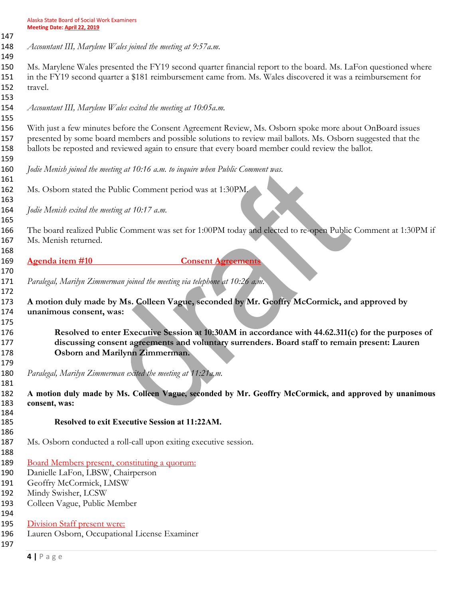*Accountant III, Marylene Wales joined the meeting at 9:57a.m.*

 Ms. Marylene Wales presented the FY19 second quarter financial report to the board. Ms. LaFon questioned where in the FY19 second quarter a \$181 reimbursement came from. Ms. Wales discovered it was a reimbursement for travel.

*Accountant III, Marylene Wales exited the meeting at 10:05a.m.* 

 With just a few minutes before the Consent Agreement Review, Ms. Osborn spoke more about OnBoard issues presented by some board members and possible solutions to review mail ballots. Ms. Osborn suggested that the ballots be reposted and reviewed again to ensure that every board member could review the ballot.

- *Jodie Menish joined the meeting at 10:16 a.m. to inquire when Public Comment was.*
- Ms. Osborn stated the Public Comment period was at 1:30PM.

*Jodie Menish exited the meeting at 10:17 a.m.* 

 The board realized Public Comment was set for 1:00PM today and elected to re-open Public Comment at 1:30PM if Ms. Menish returned.

**Agenda item #10 Consent Agreements**

*Paralegal, Marilyn Zimmerman joined the meeting via telephone at 10:26 a.m.*

 **A motion duly made by Ms. Colleen Vague, seconded by Mr. Geoffry McCormick, and approved by unanimous consent, was:**

 **Resolved to enter Executive Session at 10:30AM in accordance with 44.62.311(c) for the purposes of discussing consent agreements and voluntary surrenders. Board staff to remain present: Lauren Osborn and Marilynn Zimmerman.**

*Paralegal, Marilyn Zimmerman exited the meeting at 11:21a.m.* 

 **A motion duly made by Ms. Colleen Vague, seconded by Mr. Geoffry McCormick, and approved by unanimous consent, was:**

- **Resolved to exit Executive Session at 11:22AM.**
- Ms. Osborn conducted a roll-call upon exiting executive session.
- 
- Board Members present, constituting a quorum:
- Danielle LaFon, LBSW, Chairperson
- Geoffry McCormick, LMSW
- Mindy Swisher, LCSW
- Colleen Vague, Public Member
- 
- Division Staff present were:
- Lauren Osborn, Occupational License Examiner
-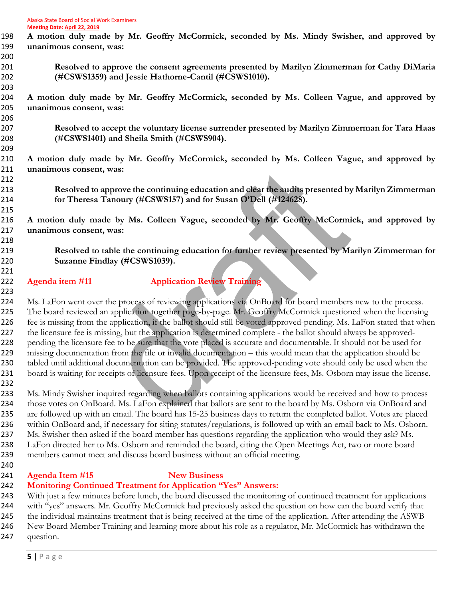- **A motion duly made by Mr. Geoffry McCormick, seconded by Ms. Mindy Swisher, and approved by unanimous consent, was: Resolved to approve the consent agreements presented by Marilyn Zimmerman for Cathy DiMaria (#CSWS1359) and Jessie Hathorne-Cantil (#CSWS1010). A motion duly made by Mr. Geoffry McCormick, seconded by Ms. Colleen Vague, and approved by unanimous consent, was: Resolved to accept the voluntary license surrender presented by Marilyn Zimmerman for Tara Haas (#CSWS1401) and Sheila Smith (#CSWS904). A motion duly made by Mr. Geoffry McCormick, seconded by Ms. Colleen Vague, and approved by unanimous consent, was: Resolved to approve the continuing education and clear the audits presented by Marilyn Zimmerman for Theresa Tanoury (#CSWS157) and for Susan O'Dell (#124628). A motion duly made by Ms. Colleen Vague, seconded by Mr. Geoffry McCormick, and approved by unanimous consent, was: Resolved to table the continuing education for further review presented by Marilyn Zimmerman for Suzanne Findlay (#CSWS1039). Agenda item #11 Application Review Training** Ms. LaFon went over the process of reviewing applications via OnBoard for board members new to the process. 225 The board reviewed an application together page-by-page. Mr. Geoffry McCormick questioned when the licensing fee is missing from the application, if the ballot should still be voted approved-pending. Ms. LaFon stated that when the licensure fee is missing, but the application is determined complete - the ballot should always be approved- pending the licensure fee to be sure that the vote placed is accurate and documentable. It should not be used for missing documentation from the file or invalid documentation – this would mean that the application should be tabled until additional documentation can be provided. The approved-pending vote should only be used when the board is waiting for receipts of licensure fees. Upon receipt of the licensure fees, Ms. Osborn may issue the license. Ms. Mindy Swisher inquired regarding when ballots containing applications would be received and how to process 234 those votes on OnBoard. Ms. LaFon explained that ballots are sent to the board by Ms. Osborn via OnBoard and are followed up with an email. The board has 15-25 business days to return the completed ballot. Votes are placed within OnBoard and, if necessary for siting statutes/regulations, is followed up with an email back to Ms. Osborn. Ms. Swisher then asked if the board member has questions regarding the application who would they ask? Ms. LaFon directed her to Ms. Osborn and reminded the board, citing the Open Meetings Act, two or more board members cannot meet and discuss board business without an official meeting. **Agenda Item #15 New Business Monitoring Continued Treatment for Application "Yes" Answers:** With just a few minutes before lunch, the board discussed the monitoring of continued treatment for applications
- with "yes" answers. Mr. Geoffry McCormick had previously asked the question on how can the board verify that 245 the individual maintains treatment that is being received at the time of the application. After attending the ASWB New Board Member Training and learning more about his role as a regulator, Mr. McCormick has withdrawn the question.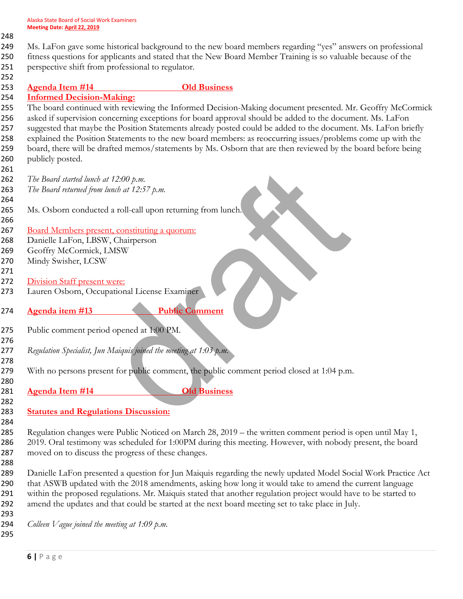## 

- Ms. LaFon gave some historical background to the new board members regarding "yes" answers on professional fitness questions for applicants and stated that the New Board Member Training is so valuable because of the
- perspective shift from professional to regulator.
- 
- **Agenda Item #14 Old Business**

**Informed Decision-Making:**

 The board continued with reviewing the Informed Decision-Making document presented. Mr. Geoffry McCormick asked if supervision concerning exceptions for board approval should be added to the document. Ms. LaFon suggested that maybe the Position Statements already posted could be added to the document. Ms. LaFon briefly explained the Position Statements to the new board members: as reoccurring issues/problems come up with the board, there will be drafted memos/statements by Ms. Osborn that are then reviewed by the board before being 260 publicly posted.

- *The Board started lunch at 12:00 p.m. The Board returned from lunch at 12:57 p.m.* Ms. Osborn conducted a roll-call upon returning from lunch. Board Members present, constituting a quorum: Danielle LaFon, LBSW, Chairperson Geoffry McCormick, LMSW Mindy Swisher, LCSW 272 Division Staff present were: Lauren Osborn, Occupational License Examiner **Agenda item #13 Public Comment** Public comment period opened at 1:00 PM. *Regulation Specialist, Jun Maiquis joined the meeting at 1:03 p.m.*  279 With no persons present for public comment, the public comment period closed at 1:04 p.m.
- **Agenda Item #14 Old Business**
- **Statutes and Regulations Discussion:**
- 

 Regulation changes were Public Noticed on March 28, 2019 – the written comment period is open until May 1, 2019. Oral testimony was scheduled for 1:00PM during this meeting. However, with nobody present, the board moved on to discuss the progress of these changes.

 Danielle LaFon presented a question for Jun Maiquis regarding the newly updated Model Social Work Practice Act that ASWB updated with the 2018 amendments, asking how long it would take to amend the current language within the proposed regulations. Mr. Maiquis stated that another regulation project would have to be started to amend the updates and that could be started at the next board meeting set to take place in July.

*Colleen Vague joined the meeting at 1:09 p.m.*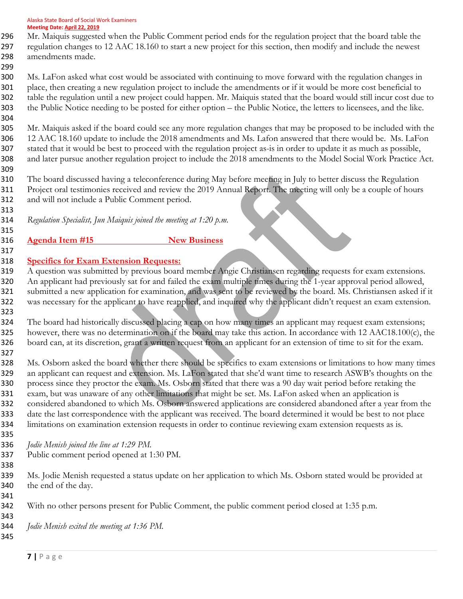Mr. Maiquis suggested when the Public Comment period ends for the regulation project that the board table the regulation changes to 12 AAC 18.160 to start a new project for this section, then modify and include the newest amendments made.

 Ms. LaFon asked what cost would be associated with continuing to move forward with the regulation changes in place, then creating a new regulation project to include the amendments or if it would be more cost beneficial to table the regulation until a new project could happen. Mr. Maiquis stated that the board would still incur cost due to the Public Notice needing to be posted for either option – the Public Notice, the letters to licensees, and the like. 

 Mr. Maiquis asked if the board could see any more regulation changes that may be proposed to be included with the 12 AAC 18.160 update to include the 2018 amendments and Ms. Lafon answered that there would be. Ms. LaFon stated that it would be best to proceed with the regulation project as-is in order to update it as much as possible, and later pursue another regulation project to include the 2018 amendments to the Model Social Work Practice Act. 

 The board discussed having a teleconference during May before meeting in July to better discuss the Regulation Project oral testimonies received and review the 2019 Annual Report. The meeting will only be a couple of hours and will not include a Public Comment period.

*Regulation Specialist, Jun Maiquis joined the meeting at 1:20 p.m.* 

 **Agenda Item #15 New Business**

**Specifics for Exam Extension Requests:**

 A question was submitted by previous board member Angie Christiansen regarding requests for exam extensions. An applicant had previously sat for and failed the exam multiple times during the 1-year approval period allowed, submitted a new application for examination, and was sent to be reviewed by the board. Ms. Christiansen asked if it was necessary for the applicant to have reapplied, and inquired why the applicant didn't request an exam extension. 

324 The board had historically discussed placing a cap on how many times an applicant may request exam extensions; however, there was no determination on if the board may take this action. In accordance with 12 AAC18.100(c), the board can, at its discretion, grant a written request from an applicant for an extension of time to sit for the exam. 

 Ms. Osborn asked the board whether there should be specifics to exam extensions or limitations to how many times an applicant can request and extension. Ms. LaFon stated that she'd want time to research ASWB's thoughts on the process since they proctor the exam. Ms. Osborn stated that there was a 90 day wait period before retaking the exam, but was unaware of any other limitations that might be set. Ms. LaFon asked when an application is considered abandoned to which Ms. Osborn answered applications are considered abandoned after a year from the date the last correspondence with the applicant was received. The board determined it would be best to not place limitations on examination extension requests in order to continue reviewing exam extension requests as is.

*Jodie Menish joined the line at 1:29 PM.* 

Public comment period opened at 1:30 PM.

 Ms. Jodie Menish requested a status update on her application to which Ms. Osborn stated would be provided at the end of the day.

With no other persons present for Public Comment, the public comment period closed at 1:35 p.m.

*Jodie Menish exited the meeting at 1:36 PM.*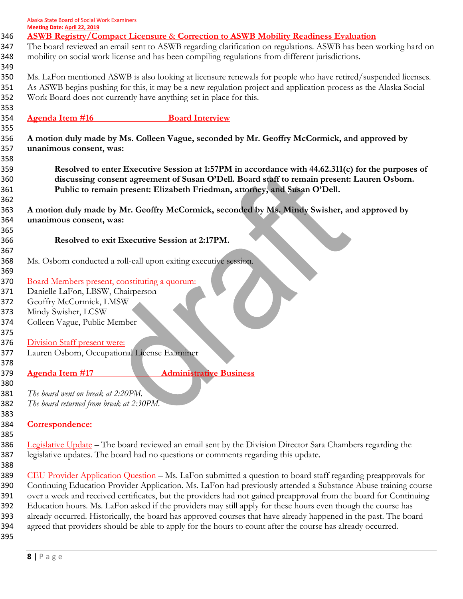| Alaska State Board of Social Work Examiners |
|---------------------------------------------|
| <b>Meeting Date: April 22, 2019</b>         |

| Meeting Date: April 22, 2019                                                                                      |                                                                                                                                                                                                                                                                                                                     |  |  |
|-------------------------------------------------------------------------------------------------------------------|---------------------------------------------------------------------------------------------------------------------------------------------------------------------------------------------------------------------------------------------------------------------------------------------------------------------|--|--|
|                                                                                                                   | <b>ASWB Registry/Compact Licensure &amp; Correction to ASWB Mobility Readiness Evaluation</b><br>The board reviewed an email sent to ASWB regarding clarification on regulations. ASWB has been working hard on<br>mobility on social work license and has been compiling regulations from different jurisdictions. |  |  |
|                                                                                                                   | Ms. LaFon mentioned ASWB is also looking at licensure renewals for people who have retired/suspended licenses.<br>As ASWB begins pushing for this, it may be a new regulation project and application process as the Alaska Social<br>Work Board does not currently have anything set in place for this.            |  |  |
| <b>Agenda Item #16</b>                                                                                            | <b>Board Interview</b>                                                                                                                                                                                                                                                                                              |  |  |
| unanimous consent, was:                                                                                           | A motion duly made by Ms. Colleen Vague, seconded by Mr. Geoffry McCormick, and approved by                                                                                                                                                                                                                         |  |  |
|                                                                                                                   | Resolved to enter Executive Session at 1:57PM in accordance with 44.62.311(c) for the purposes of<br>discussing consent agreement of Susan O'Dell. Board staff to remain present: Lauren Osborn.<br>Public to remain present: Elizabeth Friedman, attorney, and Susan O'Dell.                                       |  |  |
|                                                                                                                   | A motion duly made by Mr. Geoffry McCormick, seconded by Ms. Mindy Swisher, and approved by                                                                                                                                                                                                                         |  |  |
| unanimous consent, was:                                                                                           |                                                                                                                                                                                                                                                                                                                     |  |  |
|                                                                                                                   |                                                                                                                                                                                                                                                                                                                     |  |  |
|                                                                                                                   | Resolved to exit Executive Session at 2:17PM.                                                                                                                                                                                                                                                                       |  |  |
|                                                                                                                   | Ms. Osborn conducted a roll-call upon exiting executive session.                                                                                                                                                                                                                                                    |  |  |
| Board Members present, constituting a quorum:                                                                     |                                                                                                                                                                                                                                                                                                                     |  |  |
| Danielle LaFon, LBSW, Chairperson                                                                                 |                                                                                                                                                                                                                                                                                                                     |  |  |
| Geoffry McCormick, LMSW                                                                                           |                                                                                                                                                                                                                                                                                                                     |  |  |
| Mindy Swisher, LCSW                                                                                               |                                                                                                                                                                                                                                                                                                                     |  |  |
| Colleen Vague, Public Member                                                                                      |                                                                                                                                                                                                                                                                                                                     |  |  |
| Division Staff present were:                                                                                      |                                                                                                                                                                                                                                                                                                                     |  |  |
| Lauren Osborn, Occupational License Examiner                                                                      |                                                                                                                                                                                                                                                                                                                     |  |  |
|                                                                                                                   |                                                                                                                                                                                                                                                                                                                     |  |  |
| <b>Agenda Item #17</b>                                                                                            | <b>Administrative Business</b>                                                                                                                                                                                                                                                                                      |  |  |
|                                                                                                                   |                                                                                                                                                                                                                                                                                                                     |  |  |
| The board went on break at 2:20PM.                                                                                |                                                                                                                                                                                                                                                                                                                     |  |  |
| The board returned from break at 2:30PM.                                                                          |                                                                                                                                                                                                                                                                                                                     |  |  |
| Correspondence:                                                                                                   |                                                                                                                                                                                                                                                                                                                     |  |  |
|                                                                                                                   |                                                                                                                                                                                                                                                                                                                     |  |  |
|                                                                                                                   | Legislative Update – The board reviewed an email sent by the Division Director Sara Chambers regarding the<br>legislative updates. The board had no questions or comments regarding this update.                                                                                                                    |  |  |
|                                                                                                                   | CEU Provider Application Question – Ms. LaFon submitted a question to board staff regarding preapprovals for                                                                                                                                                                                                        |  |  |
|                                                                                                                   | Continuing Education Provider Application. Ms. LaFon had previously attended a Substance Abuse training course                                                                                                                                                                                                      |  |  |
| over a week and received certificates, but the providers had not gained preapproval from the board for Continuing |                                                                                                                                                                                                                                                                                                                     |  |  |
|                                                                                                                   | Education hours. Ms. LaFon asked if the providers may still apply for these hours even though the course has                                                                                                                                                                                                        |  |  |
|                                                                                                                   | already occurred. Historically, the board has approved courses that have already happened in the past. The board                                                                                                                                                                                                    |  |  |
|                                                                                                                   | agreed that providers should be able to apply for the hours to count after the course has already occurred.                                                                                                                                                                                                         |  |  |
|                                                                                                                   |                                                                                                                                                                                                                                                                                                                     |  |  |
|                                                                                                                   |                                                                                                                                                                                                                                                                                                                     |  |  |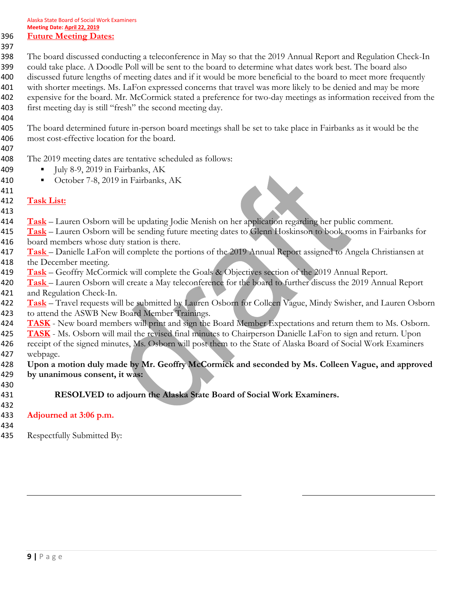## **Future Meeting Dates:**

 The board discussed conducting a teleconference in May so that the 2019 Annual Report and Regulation Check-In could take place. A Doodle Poll will be sent to the board to determine what dates work best. The board also discussed future lengths of meeting dates and if it would be more beneficial to the board to meet more frequently 401 with shorter meetings. Ms. LaFon expressed concerns that travel was more likely to be denied and may be more expensive for the board. Mr. McCormick stated a preference for two-day meetings as information received from the first meeting day is still "fresh" the second meeting day.

- The board determined future in-person board meetings shall be set to take place in Fairbanks as it would be the
	- most cost-effective location for the board.
	-
	- The 2019 meeting dates are tentative scheduled as follows:
	- **▪** July 8-9, 2019 in Fairbanks, AK
	- **▪** October 7-8, 2019 in Fairbanks, AK
	-
	- **Task List:**
	- **Task** Lauren Osborn will be updating Jodie Menish on her application regarding her public comment.
	- **Task** Lauren Osborn will be sending future meeting dates to Glenn Hoskinson to book rooms in Fairbanks for board members whose duty station is there.
	- **Task**  Danielle LaFon will complete the portions of the 2019 Annual Report assigned to Angela Christiansen at 418 the December meeting.
	- **Task** Geoffry McCormick will complete the Goals & Objectives section of the 2019 Annual Report.
	- **Task**  Lauren Osborn will create a May teleconference for the board to further discuss the 2019 Annual Report and Regulation Check-In.
	- **Task** Travel requests will be submitted by Lauren Osborn for Colleen Vague, Mindy Swisher, and Lauren Osborn 423 to attend the ASWB New Board Member Trainings.
	- **TASK** New board members will print and sign the Board Member Expectations and return them to Ms. Osborn.
	- **TASK** Ms. Osborn will mail the revised final minutes to Chairperson Danielle LaFon to sign and return. Upon 426 receipt of the signed minutes, Ms. Osborn will post them to the State of Alaska Board of Social Work Examiners webpage.
	- **Upon a motion duly made by Mr. Geoffry McCormick and seconded by Ms. Colleen Vague, and approved by unanimous consent, it was:**
	- **RESOLVED to adjourn the Alaska State Board of Social Work Examiners.**
	- **Adjourned at 3:06 p.m.**
	-

Respectfully Submitted By: